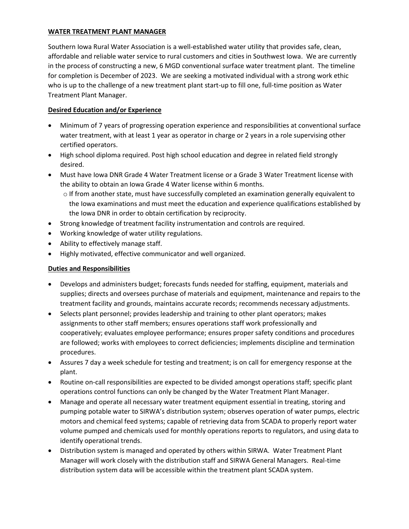#### **WATER TREATMENT PLANT MANAGER**

Southern Iowa Rural Water Association is a well-established water utility that provides safe, clean, affordable and reliable water service to rural customers and cities in Southwest Iowa. We are currently in the process of constructing a new, 6 MGD conventional surface water treatment plant. The timeline for completion is December of 2023. We are seeking a motivated individual with a strong work ethic who is up to the challenge of a new treatment plant start-up to fill one, full-time position as Water Treatment Plant Manager.

# **Desired Education and/or Experience**

- Minimum of 7 years of progressing operation experience and responsibilities at conventional surface water treatment, with at least 1 year as operator in charge or 2 years in a role supervising other certified operators.
- High school diploma required. Post high school education and degree in related field strongly desired.
- Must have Iowa DNR Grade 4 Water Treatment license or a Grade 3 Water Treatment license with the ability to obtain an Iowa Grade 4 Water license within 6 months.
	- o If from another state, must have successfully completed an examination generally equivalent to the Iowa examinations and must meet the education and experience qualifications established by the Iowa DNR in order to obtain certification by reciprocity.
- Strong knowledge of treatment facility instrumentation and controls are required.
- Working knowledge of water utility regulations.
- Ability to effectively manage staff.
- Highly motivated, effective communicator and well organized.

# **Duties and Responsibilities**

- Develops and administers budget; forecasts funds needed for staffing, equipment, materials and supplies; directs and oversees purchase of materials and equipment, maintenance and repairs to the treatment facility and grounds, maintains accurate records; recommends necessary adjustments.
- Selects plant personnel; provides leadership and training to other plant operators; makes assignments to other staff members; ensures operations staff work professionally and cooperatively; evaluates employee performance; ensures proper safety conditions and procedures are followed; works with employees to correct deficiencies; implements discipline and termination procedures.
- Assures 7 day a week schedule for testing and treatment; is on call for emergency response at the plant.
- Routine on-call responsibilities are expected to be divided amongst operations staff; specific plant operations control functions can only be changed by the Water Treatment Plant Manager.
- Manage and operate all necessary water treatment equipment essential in treating, storing and pumping potable water to SIRWA's distribution system; observes operation of water pumps, electric motors and chemical feed systems; capable of retrieving data from SCADA to properly report water volume pumped and chemicals used for monthly operations reports to regulators, and using data to identify operational trends.
- Distribution system is managed and operated by others within SIRWA. Water Treatment Plant Manager will work closely with the distribution staff and SIRWA General Managers. Real-time distribution system data will be accessible within the treatment plant SCADA system.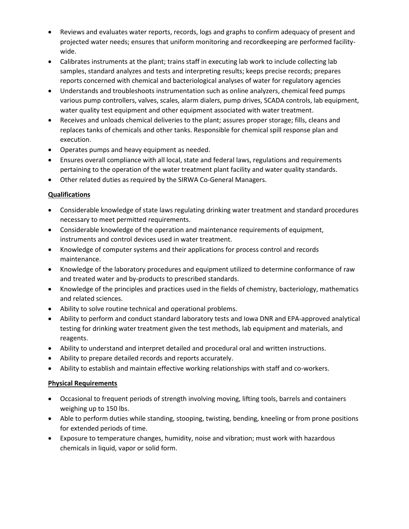- Reviews and evaluates water reports, records, logs and graphs to confirm adequacy of present and projected water needs; ensures that uniform monitoring and recordkeeping are performed facilitywide.
- Calibrates instruments at the plant; trains staff in executing lab work to include collecting lab samples, standard analyzes and tests and interpreting results; keeps precise records; prepares reports concerned with chemical and bacteriological analyses of water for regulatory agencies
- Understands and troubleshoots instrumentation such as online analyzers, chemical feed pumps various pump controllers, valves, scales, alarm dialers, pump drives, SCADA controls, lab equipment, water quality test equipment and other equipment associated with water treatment.
- Receives and unloads chemical deliveries to the plant; assures proper storage; fills, cleans and replaces tanks of chemicals and other tanks. Responsible for chemical spill response plan and execution.
- Operates pumps and heavy equipment as needed.
- Ensures overall compliance with all local, state and federal laws, regulations and requirements pertaining to the operation of the water treatment plant facility and water quality standards.
- Other related duties as required by the SIRWA Co-General Managers.

# **Qualifications**

- Considerable knowledge of state laws regulating drinking water treatment and standard procedures necessary to meet permitted requirements.
- Considerable knowledge of the operation and maintenance requirements of equipment, instruments and control devices used in water treatment.
- Knowledge of computer systems and their applications for process control and records maintenance.
- Knowledge of the laboratory procedures and equipment utilized to determine conformance of raw and treated water and by-products to prescribed standards.
- Knowledge of the principles and practices used in the fields of chemistry, bacteriology, mathematics and related sciences.
- Ability to solve routine technical and operational problems.
- Ability to perform and conduct standard laboratory tests and Iowa DNR and EPA-approved analytical testing for drinking water treatment given the test methods, lab equipment and materials, and reagents.
- Ability to understand and interpret detailed and procedural oral and written instructions.
- Ability to prepare detailed records and reports accurately.
- Ability to establish and maintain effective working relationships with staff and co-workers.

# **Physical Requirements**

- Occasional to frequent periods of strength involving moving, lifting tools, barrels and containers weighing up to 150 lbs.
- Able to perform duties while standing, stooping, twisting, bending, kneeling or from prone positions for extended periods of time.
- Exposure to temperature changes, humidity, noise and vibration; must work with hazardous chemicals in liquid, vapor or solid form.